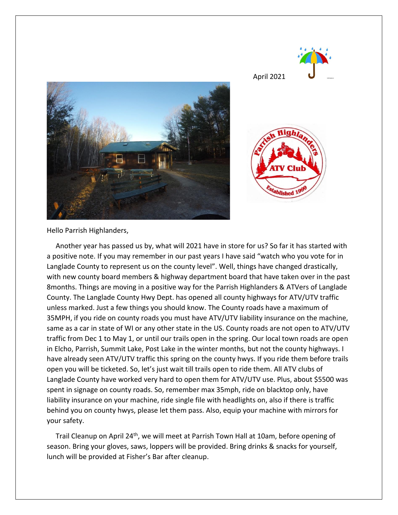

Hello Parrish Highlanders,

 Another year has passed us by, what will 2021 have in store for us? So far it has started with a positive note. If you may remember in our past years I have said "watch who you vote for in Langlade County to represent us on the county level". Well, things have changed drastically, with new county board members & highway department board that have taken over in the past 8months. Things are moving in a positive way for the Parrish Highlanders & ATVers of Langlade County. The Langlade County Hwy Dept. has opened all county highways for ATV/UTV traffic unless marked. Just a few things you should know. The County roads have a maximum of 35MPH, if you ride on county roads you must have ATV/UTV liability insurance on the machine, same as a car in state of WI or any other state in the US. County roads are not open to ATV/UTV traffic from Dec 1 to May 1, or until our trails open in the spring. Our local town roads are open in Elcho, Parrish, Summit Lake, Post Lake in the winter months, but not the county highways. I have already seen ATV/UTV traffic this spring on the county hwys. If you ride them before trails open you will be ticketed. So, let's just wait till trails open to ride them. All ATV clubs of Langlade County have worked very hard to open them for ATV/UTV use. Plus, about \$5500 was spent in signage on county roads. So, remember max 35mph, ride on blacktop only, have liability insurance on your machine, ride single file with headlights on, also if there is traffic behind you on county hwys, please let them pass. Also, equip your machine with mirrors for your safety.

Trail Cleanup on April 24<sup>th</sup>, we will meet at Parrish Town Hall at 10am, before opening of season. Bring your gloves, saws, loppers will be provided. Bring drinks & snacks for yourself, lunch will be provided at Fisher's Bar after cleanup.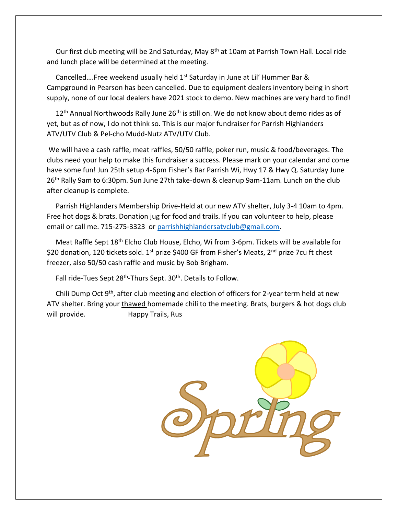Our first club meeting will be 2nd Saturday, May 8<sup>th</sup> at 10am at Parrish Town Hall. Local ride and lunch place will be determined at the meeting.

Cancelled....Free weekend usually held 1<sup>st</sup> Saturday in June at Lil' Hummer Bar & Campground in Pearson has been cancelled. Due to equipment dealers inventory being in short supply, none of our local dealers have 2021 stock to demo. New machines are very hard to find!

 $12<sup>th</sup>$  Annual Northwoods Rally June  $26<sup>th</sup>$  is still on. We do not know about demo rides as of yet, but as of now, I do not think so. This is our major fundraiser for Parrish Highlanders ATV/UTV Club & Pel-cho Mudd-Nutz ATV/UTV Club.

We will have a cash raffle, meat raffles, 50/50 raffle, poker run, music & food/beverages. The clubs need your help to make this fundraiser a success. Please mark on your calendar and come have some fun! Jun 25th setup 4-6pm Fisher's Bar Parrish Wi, Hwy 17 & Hwy Q. Saturday June 26th Rally 9am to 6:30pm. Sun June 27th take-down & cleanup 9am-11am. Lunch on the club after cleanup is complete.

 Parrish Highlanders Membership Drive-Held at our new ATV shelter, July 3-4 10am to 4pm. Free hot dogs & brats. Donation jug for food and trails. If you can volunteer to help, please email or call me. 715-275-3323 or [parrishhighlandersatvclub@gmail.com.](mailto:parrishhighlandersatvclub@gmail.com)

 Meat Raffle Sept 18th Elcho Club House, Elcho, Wi from 3-6pm. Tickets will be available for \$20 donation, 120 tickets sold. 1<sup>st</sup> prize \$400 GF from Fisher's Meats, 2<sup>nd</sup> prize 7cu ft chest freezer, also 50/50 cash raffle and music by Bob Brigham.

Fall ride-Tues Sept 28<sup>th</sup>-Thurs Sept. 30<sup>th</sup>. Details to Follow.

 Chili Dump Oct 9th, after club meeting and election of officers for 2-year term held at new ATV shelter. Bring your thawed homemade chili to the meeting. Brats, burgers & hot dogs club will provide. Happy Trails, Rus

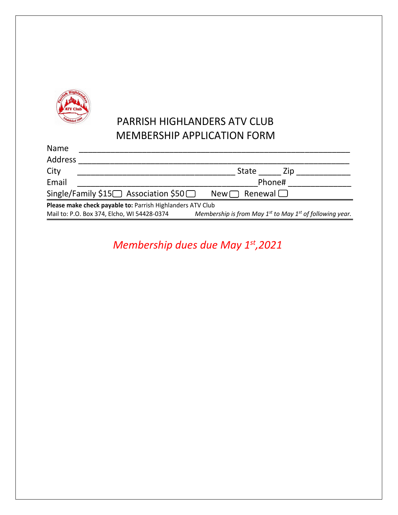

# PARRISH HIGHLANDERS ATV CLUB MEMBERSHIP APPLICATION FORM

| Name                                                                 |              |
|----------------------------------------------------------------------|--------------|
| <b>Address</b>                                                       |              |
| City                                                                 | State<br>Zip |
| Email                                                                | Phone#       |
| Single/Family \$15 Association \$50 $\Box$ New $\Box$ Renewal $\Box$ |              |
| Please make check payable to: Parrish Highlanders ATV Club           |              |

Mail to: P.O. Box 374, Elcho, WI 54428-0374 *Membership is from May 1st to May 1st of following year.*

*Membership dues due May 1st,2021*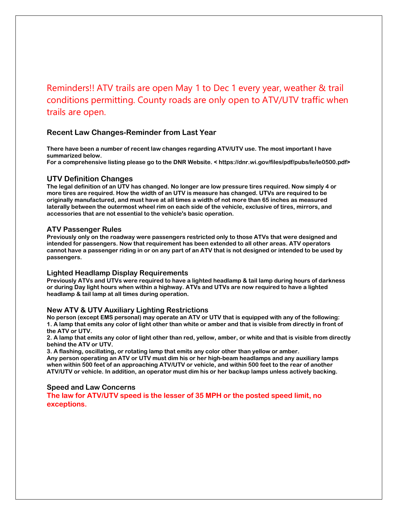Reminders!! ATV trails are open May 1 to Dec 1 every year, weather & trail conditions permitting. County roads are only open to ATV/UTV traffic when trails are open.

# **Recent Law Changes-Reminder from Last Year**

**There have been a number of recent law changes regarding ATV/UTV use. The most important I have summarized below.** 

**For a comprehensive listing please go to the DNR Website. < https://dnr.wi.gov/files/pdf/pubs/le/le0500.pdf>** 

# **UTV Definition Changes**

**The legal definition of an UTV has changed. No longer are low pressure tires required. Now simply 4 or more tires are required. How the width of an UTV is measure has changed. UTVs are required to be originally manufactured, and must have at all times a width of not more than 65 inches as measured laterally between the outermost wheel rim on each side of the vehicle, exclusive of tires, mirrors, and accessories that are not essential to the vehicle's basic operation.** 

### **ATV Passenger Rules**

**Previously only on the roadway were passengers restricted only to those ATVs that were designed and intended for passengers. Now that requirement has been extended to all other areas. ATV operators cannot have a passenger riding in or on any part of an ATV that is not designed or intended to be used by passengers.** 

#### **Lighted Headlamp Display Requirements**

**Previously ATVs and UTVs were required to have a lighted headlamp & tail lamp during hours of darkness or during Day light hours when within a highway. ATVs and UTVs are now required to have a lighted headlamp & tail lamp at all times during operation.** 

#### **New ATV & UTV Auxiliary Lighting Restrictions**

**No person (except EMS personal) may operate an ATV or UTV that is equipped with any of the following: 1. A lamp that emits any color of light other than white or amber and that is visible from directly in front of the ATV or UTV.** 

**2. A lamp that emits any color of light other than red, yellow, amber, or white and that is visible from directly behind the ATV or UTV.** 

**3. A flashing, oscillating, or rotating lamp that emits any color other than yellow or amber. Any person operating an ATV or UTV must dim his or her high-beam headlamps and any auxiliary lamps when within 500 feet of an approaching ATV/UTV or vehicle, and within 500 feet to the rear of another ATV/UTV or vehicle. In addition, an operator must dim his or her backup lamps unless actively backing.** 

## **Speed and Law Concerns**

**The law for ATV/UTV speed is the lesser of 35 MPH or the posted speed limit, no exceptions.**